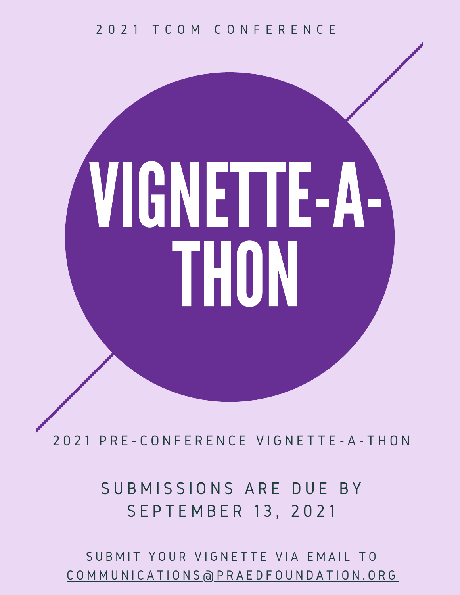# 2 0 2 1 T C O M C O N F E R E N C E

# VIGNETTE-A-THON

2 0 2 1 P R E - C O N F E R E N C E V I G N E T T E - A - T H O N

SUBMISSIONS ARE DUE BY S E P T E M B E R 13, 2021

SUBMIT YOUR VIGNETTE VIA EMAIL TO C O M M U N I C A T I O N S [@](mailto:communications@praedfoundation.org) P R A E D F O U N D A T I O N . O R G